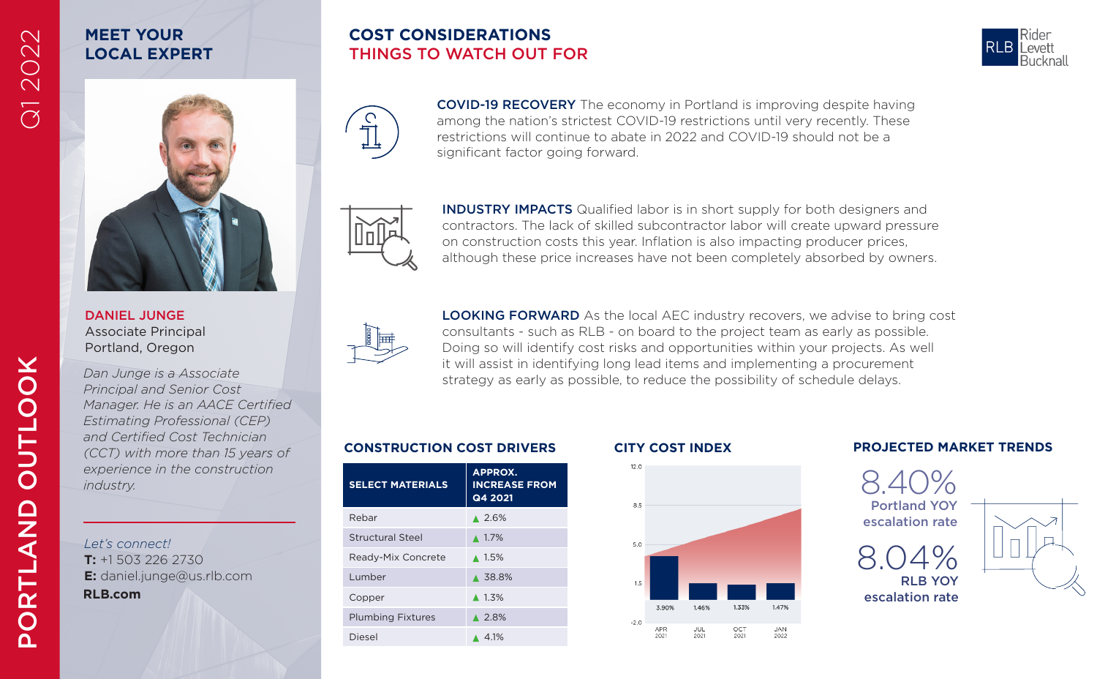# **MEET YOUR LOCAL EXPERT**

## **COST CONSIDERATIONS** THINGS TO WATCH OUT FOR





COVID-19 RECOVERY The economy in Portland is improving despite having among the nation's strictest COVID-19 restrictions until very recently. These restrictions will continue to abate in 2022 and COVID-19 should not be a significant factor going forward.



INDUSTRY IMPACTS Qualified labor is in short supply for both designers and contractors. The lack of skilled subcontractor labor will create upward pressure on construction costs this year. Inflation is also impacting producer prices, although these price increases have not been completely absorbed by owners.



LOOKING FORWARD As the local AEC industry recovers, we advise to bring cost consultants - such as RLB - on board to the project team as early as possible. Doing so will identify cost risks and opportunities within your projects. As well it will assist in identifying long lead items and implementing a procurement strategy as early as possible, to reduce the possibility of schedule delays.

| <b>SELECT MATERIALS</b>  | <b>APPROX.</b><br><b>INCREASE FROM</b><br>Q4 2021 |
|--------------------------|---------------------------------------------------|
| Rebar                    | $\triangle 2.6\%$                                 |
| Structural Steel         | $\triangle$ 1.7%                                  |
| Ready-Mix Concrete       | $\triangle$ 1.5%                                  |
| Lumber                   | ▲ 38.8%                                           |
| Copper                   | $\triangle$ 1.3%                                  |
| <b>Plumbing Fixtures</b> | $\triangle$ 2.8%                                  |
| Diesel                   | 4.1%                                              |



### **CONSTRUCTION COST DRIVERS CITY COST INDEX PROJECTED MARKET TRENDS**





Q1 2022



DANIEL JUNGE Associate Principal Portland, Oregon

*industry.* 

*Let's connect!* **T:** +1 503 226 2730 **E:** daniel.junge@us.rlb.com

**RLB.com**

*Dan Junge is a Associate Principal and Senior Cost Manager. He is an AACE Certified Estimating Professional (CEP) and Certified Cost Technician (CCT) with more than 15 years of experience in the construction*